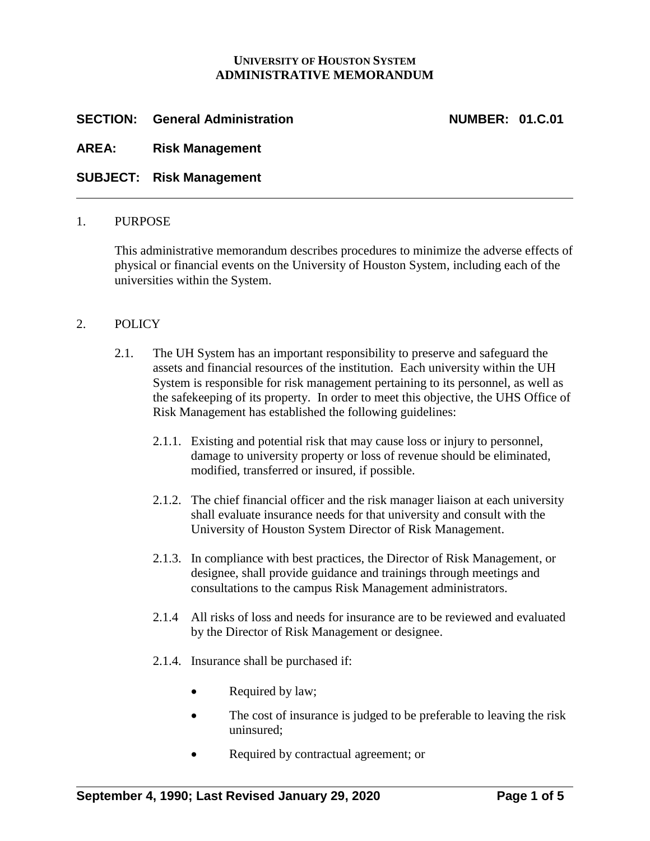### **UNIVERSITY OF HOUSTON SYSTEM ADMINISTRATIVE MEMORANDUM**

# **SECTION: General Administration NUMBER: 01.C.01**

### **AREA: Risk Management**

### **SUBJECT: Risk Management**

#### 1. PURPOSE

This administrative memorandum describes procedures to minimize the adverse effects of physical or financial events on the University of Houston System, including each of the universities within the System.

#### 2. POLICY

- 2.1. The UH System has an important responsibility to preserve and safeguard the assets and financial resources of the institution. Each university within the UH System is responsible for risk management pertaining to its personnel, as well as the safekeeping of its property. In order to meet this objective, the UHS Office of Risk Management has established the following guidelines:
	- 2.1.1. Existing and potential risk that may cause loss or injury to personnel, damage to university property or loss of revenue should be eliminated, modified, transferred or insured, if possible.
	- 2.1.2. The chief financial officer and the risk manager liaison at each university shall evaluate insurance needs for that university and consult with the University of Houston System Director of Risk Management.
	- 2.1.3. In compliance with best practices, the Director of Risk Management, or designee, shall provide guidance and trainings through meetings and consultations to the campus Risk Management administrators.
	- 2.1.4 All risks of loss and needs for insurance are to be reviewed and evaluated by the Director of Risk Management or designee.
	- 2.1.4. Insurance shall be purchased if:
		- Required by law;
		- The cost of insurance is judged to be preferable to leaving the risk uninsured;
		- Required by contractual agreement; or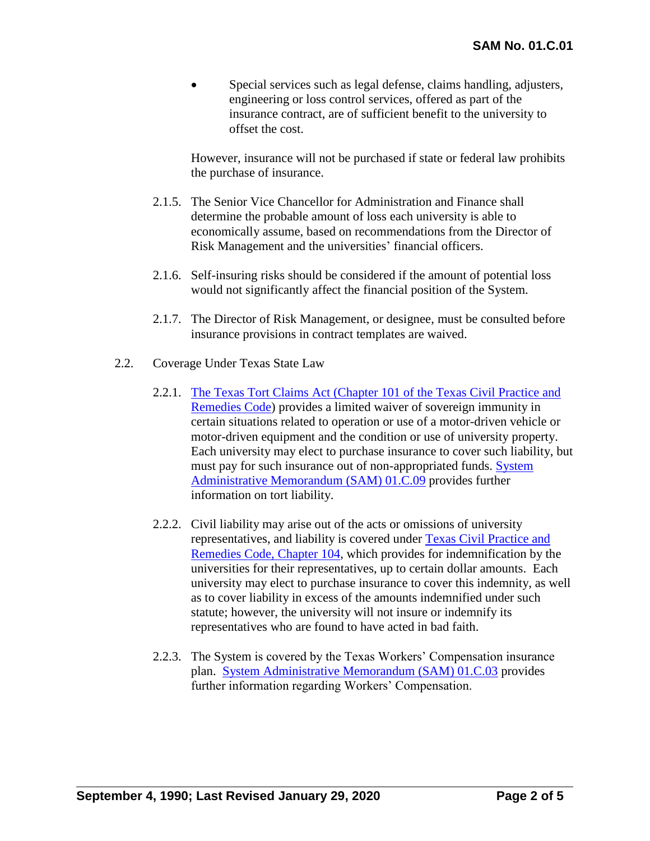Special services such as legal defense, claims handling, adjusters, engineering or loss control services, offered as part of the insurance contract, are of sufficient benefit to the university to offset the cost.

However, insurance will not be purchased if state or federal law prohibits the purchase of insurance.

- 2.1.5. The Senior Vice Chancellor for Administration and Finance shall determine the probable amount of loss each university is able to economically assume, based on recommendations from the Director of Risk Management and the universities' financial officers.
- 2.1.6. Self-insuring risks should be considered if the amount of potential loss would not significantly affect the financial position of the System.
- 2.1.7. The Director of Risk Management, or designee, must be consulted before insurance provisions in contract templates are waived.
- 2.2. Coverage Under Texas State Law
	- 2.2.1. [The Texas Tort Claims Act \(Chapter 101 of the Texas Civil Practice and](http://www.statutes.legis.state.tx.us/Docs/CP/htm/CP.101.htm)  [Remedies Code\)](http://www.statutes.legis.state.tx.us/Docs/CP/htm/CP.101.htm) provides a limited waiver of sovereign immunity in certain situations related to operation or use of a motor-driven vehicle or motor-driven equipment and the condition or use of university property. Each university may elect to purchase insurance to cover such liability, but must pay for such insurance out of non-appropriated funds. [System](http://www.uhsystem.edu/compliance-ethics/_docs/sam/01/1c9.pdf) [Administrative Memorandum](http://www.uhsystem.edu/compliance-ethics/_docs/sam/01/1c9.pdf) (SAM) 01.C.09 provides further information on tort liability.
	- 2.2.2. Civil liability may arise out of the acts or omissions of university representatives, and liability is covered under [Texas Civil Practice and](http://www.statutes.legis.state.tx.us/Docs/CP/htm/CP.104.htm)  [Remedies Code,](http://www.statutes.legis.state.tx.us/Docs/CP/htm/CP.104.htm) Chapter 104, which provides for indemnification by the universities for their representatives, up to certain dollar amounts. Each university may elect to purchase insurance to cover this indemnity, as well as to cover liability in excess of the amounts indemnified under such statute; however, the university will not insure or indemnify its representatives who are found to have acted in bad faith.
	- 2.2.3. The System is covered by the Texas Workers' Compensation insurance plan. System [Administrative Memorandum](http://www.uhsystem.edu/compliance-ethics/_docs/sam/01/1c3.pdf) (SAM) 01.C.03 provides further information regarding Workers' Compensation.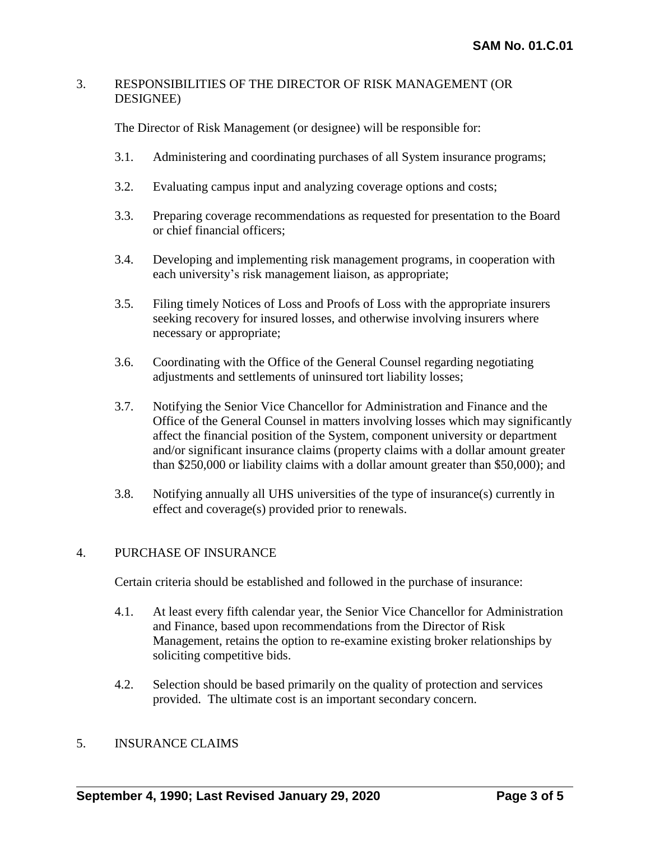#### 3. RESPONSIBILITIES OF THE DIRECTOR OF RISK MANAGEMENT (OR DESIGNEE)

The Director of Risk Management (or designee) will be responsible for:

- 3.1. Administering and coordinating purchases of all System insurance programs;
- 3.2. Evaluating campus input and analyzing coverage options and costs;
- 3.3. Preparing coverage recommendations as requested for presentation to the Board or chief financial officers;
- 3.4. Developing and implementing risk management programs, in cooperation with each university's risk management liaison, as appropriate;
- 3.5. Filing timely Notices of Loss and Proofs of Loss with the appropriate insurers seeking recovery for insured losses, and otherwise involving insurers where necessary or appropriate;
- 3.6. Coordinating with the Office of the General Counsel regarding negotiating adjustments and settlements of uninsured tort liability losses;
- 3.7. Notifying the Senior Vice Chancellor for Administration and Finance and the Office of the General Counsel in matters involving losses which may significantly affect the financial position of the System, component university or department and/or significant insurance claims (property claims with a dollar amount greater than \$250,000 or liability claims with a dollar amount greater than \$50,000); and
- 3.8. Notifying annually all UHS universities of the type of insurance(s) currently in effect and coverage(s) provided prior to renewals.

## 4. PURCHASE OF INSURANCE

Certain criteria should be established and followed in the purchase of insurance:

- 4.1. At least every fifth calendar year, the Senior Vice Chancellor for Administration and Finance, based upon recommendations from the Director of Risk Management, retains the option to re-examine existing broker relationships by soliciting competitive bids.
- 4.2. Selection should be based primarily on the quality of protection and services provided. The ultimate cost is an important secondary concern.

# 5. INSURANCE CLAIMS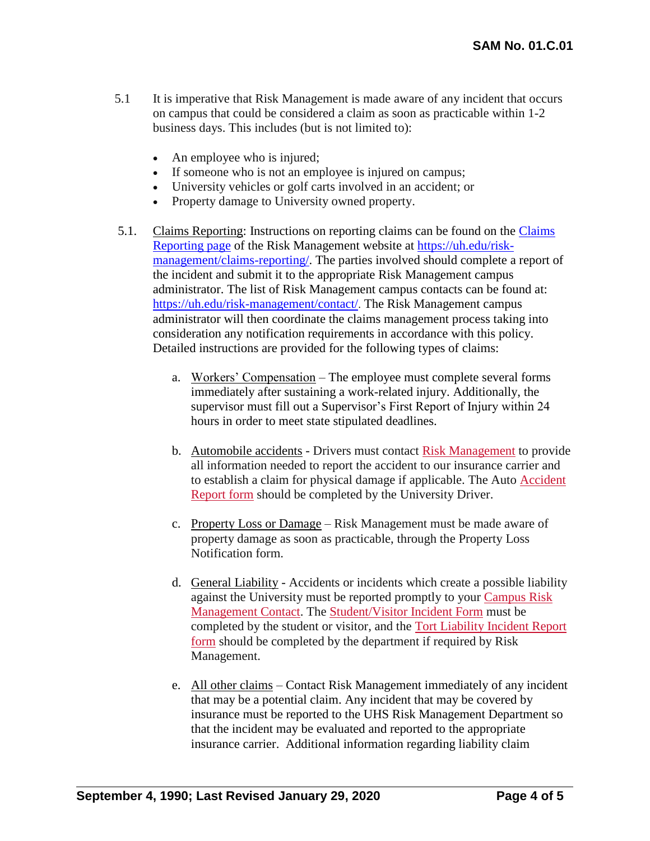- 5.1 It is imperative that Risk Management is made aware of any incident that occurs on campus that could be considered a claim as soon as practicable within 1-2 business days. This includes (but is not limited to):
	- An employee who is injured;
	- If some one who is not an employee is injured on campus;
	- University vehicles or golf carts involved in an accident; or
	- Property damage to University owned property.
- 5.1. Claims Reporting: Instructions on reporting claims can be found on the [Claims](https://uh.edu/risk-management/claims-reporting/)  [Reporting page](https://uh.edu/risk-management/claims-reporting/) of the Risk Management website at [https://uh.edu/risk](https://uh.edu/risk-management/claims-reporting/)[management/claims-reporting/.](https://uh.edu/risk-management/claims-reporting/) The parties involved should complete a report of the incident and submit it to the appropriate Risk Management campus administrator. The list of Risk Management campus contacts can be found at: <https://uh.edu/risk-management/contact/>. The Risk Management campus administrator will then coordinate the claims management process taking into consideration any notification requirements in accordance with this policy. Detailed instructions are provided for the following types of claims:
	- a. Workers' Compensation The employee must complete several forms immediately after sustaining a work-related injury. Additionally, the supervisor must fill out a Supervisor's First Report of Injury within 24 hours in order to meet state stipulated deadlines.
	- b. Automobile accidents Drivers must contact [Risk Management](https://uh.edu/risk-management/contact/) to provide all information needed to report the accident to our insurance carrier and to establish a claim for physical damage if applicable. The Auto [Accident](https://uh.edu/risk-management/_docs/autoaccidentclaimform.pdf)  [Report form](https://uh.edu/risk-management/_docs/autoaccidentclaimform.pdf) should be completed by the University Driver.
	- c. Property Loss or Damage Risk Management must be made aware of property damage as soon as practicable, through the Property Loss Notification form.
	- d. General Liability Accidents or incidents which create a possible liability against the University must be reported promptly to your [Campus Risk](https://uh.edu/risk-management/contact/)  [Management Contact.](https://uh.edu/risk-management/contact/) The [Student/Visitor Incident Form](https://uh.edu/risk-management/_docs/student_visitor_incident-report-form.pdf) must be completed by the student or visitor, and the [Tort Liability Incident Report](https://uh.edu/risk-management/_docs/insurance/TortReportingForm.pdf)  [form](https://uh.edu/risk-management/_docs/insurance/TortReportingForm.pdf) should be completed by the department if required by Risk Management.
	- e. All other claims Contact Risk Management immediately of any incident that may be a potential claim. Any incident that may be covered by insurance must be reported to the UHS Risk Management Department so that the incident may be evaluated and reported to the appropriate insurance carrier. Additional information regarding liability claim